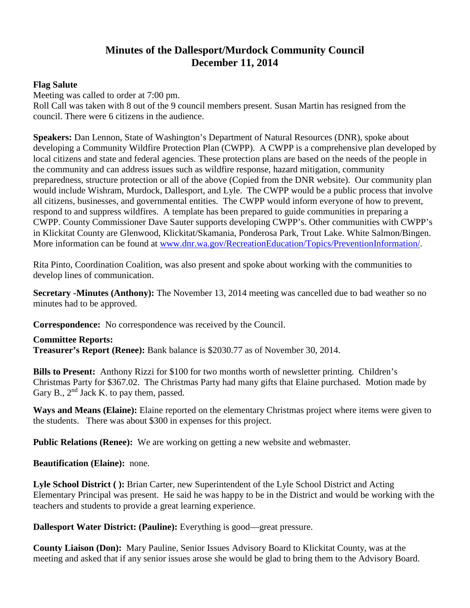## **Minutes of the Dallesport/Murdock Community Council December 11, 2014**

## **Flag Salute**

Meeting was called to order at 7:00 pm.

Roll Call was taken with 8 out of the 9 council members present. Susan Martin has resigned from the council. There were 6 citizens in the audience.

**Speakers:** Dan Lennon, State of Washington's Department of Natural Resources (DNR), spoke about developing a Community Wildfire Protection Plan (CWPP). A CWPP is a comprehensive plan developed by local citizens and state and federal agencies. These protection plans are based on the needs of the people in the community and can address issues such as wildfire response, hazard mitigation, community preparedness, structure protection or all of the above (Copied from the DNR website). Our community plan would include Wishram, Murdock, Dallesport, and Lyle. The CWPP would be a public process that involve all citizens, businesses, and governmental entities. The CWPP would inform everyone of how to prevent, respond to and suppress wildfires. A template has been prepared to guide communities in preparing a CWPP. County Commissioner Dave Sauter supports developing CWPP's. Other communities with CWPP's in Klickitat County are [Glenwood,](http://www.dnr.wa.gov/Publications/rp_burn_cwpp_glenwood.pdf) [Klickitat/Skamania,](http://www.dnr.wa.gov/Publications/rp_burn_cwpp_klickitat_skamania.pdf) [Ponderosa Park,](http://www.dnr.wa.gov/Publications/rp_burn_cwpp_ponderosa_park_final_sections_1_8.pdf) [Trout Lake.](http://www.dnr.wa.gov/Publications/rp_burn_cwpptroutlake.pdf) [White Salmon/Bingen.](http://www.dnr.wa.gov/Publications/rp_burn_cwppwhitesalmonbingen.pdf) More information can be found at [www.dnr.wa.gov/RecreationEducation/Topics/PreventionInformation/.](http://www.dnr.wa.gov/RecreationEducation/Topics/PreventionInformation/)

Rita Pinto, Coordination Coalition, was also present and spoke about working with the communities to develop lines of communication.

**Secretary -Minutes (Anthony):** The November 13, 2014 meeting was cancelled due to bad weather so no minutes had to be approved.

**Correspondence:** No correspondence was received by the Council.

**Committee Reports: Treasurer's Report (Renee):** Bank balance is \$2030.77 as of November 30, 2014.

**Bills to Present:** Anthony Rizzi for \$100 for two months worth of newsletter printing. Children's Christmas Party for \$367.02. The Christmas Party had many gifts that Elaine purchased. Motion made by Gary B.,  $2<sup>nd</sup>$  Jack K. to pay them, passed.

**Ways and Means (Elaine):** Elaine reported on the elementary Christmas project where items were given to the students. There was about \$300 in expenses for this project.

**Public Relations (Renee):** We are working on getting a new website and webmaster.

**Beautification (Elaine):** none.

**Lyle School District ( ):** Brian Carter, new Superintendent of the Lyle School District and Acting Elementary Principal was present. He said he was happy to be in the District and would be working with the teachers and students to provide a great learning experience.

**Dallesport Water District: (Pauline):** Everything is good—great pressure.

**County Liaison (Don):** Mary Pauline, Senior Issues Advisory Board to Klickitat County, was at the meeting and asked that if any senior issues arose she would be glad to bring them to the Advisory Board.